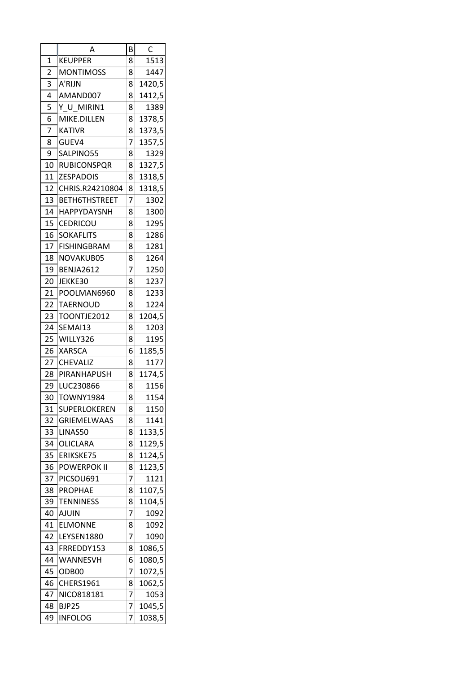|                | А                      | В | C              |
|----------------|------------------------|---|----------------|
| 1              | <b>KEUPPER</b>         | 8 | 1513           |
| $\overline{2}$ | <b>MONTIMOSS</b>       | 8 | 1447           |
| 3              | A'RIJN                 | 8 | 1420,5         |
| 4              | AMAND007               | 8 | 1412,5         |
| 5              | Y U MIRIN1             | 8 | 1389           |
| 6              | MIKE.DILLEN            | 8 | 1378,5         |
| 7              | <b>KATIVR</b>          | 8 | 1373,5         |
| 8              | GUEV4                  | 7 | 1357,5         |
| 9              | SALPINO55              | 8 | 1329           |
| 10             | <b>RUBICONSPQR</b>     | 8 | 1327,5         |
| 11             | <b>ZESPADOIS</b>       | 8 | 1318,5         |
| 12             | CHRIS.R24210804        | 8 | 1318,5         |
| 13             | <b>BETH6THSTREET</b>   | 7 | 1302           |
| 14             | <b>HAPPYDAYSNH</b>     | 8 | 1300           |
| 15             | <b>CEDRICOU</b>        | 8 | 1295           |
| 16             | <b>SOKAFLITS</b>       | 8 | 1286           |
| 17             | <b>FISHINGBRAM</b>     | 8 | 1281           |
| 18             | NOVAKUB05              | 8 | 1264           |
| 19             | BENJA2612              | 7 | 1250           |
| 20             | JEKKE30                | 8 | 1237           |
| 21             | POOLMAN6960            | 8 | 1233           |
| 22             | <b>TAERNOUD</b>        | 8 | 1224           |
| 23             |                        | 8 |                |
| 24             | TOONTJE2012<br>SEMAI13 | 8 | 1204,5<br>1203 |
|                |                        |   |                |
| 25             | WILLY326               | 8 | 1195           |
| 26             | <b>XARSCA</b>          | 6 | 1185,5         |
| 27             | CHEVALIZ               | 8 | 1177           |
| 28             | PIRANHAPUSH            | 8 | 1174,5         |
| 29             | LUC230866              | 8 | 1156           |
| 30             | <b>TOWNY1984</b>       | 8 | 1154           |
| 31             | SUPERLOKEREN           | 8 | 1150           |
| 32             | <b>GRIEMELWAAS</b>     | 8 | 1141           |
| 33             | LINAS50                | 8 | 1133,5         |
| 34             | <b>OLICLARA</b>        | 8 | 1129,5         |
| 35             | ERIKSKE75              | 8 | 1124,5         |
| 36             | <b>POWERPOK II</b>     | 8 | 1123,5         |
| 37             | PICSOU691              | 7 | 1121           |
| 38             | <b>PROPHAE</b>         | 8 | 1107,5         |
| 39             | <b>TENNINESS</b>       | 8 | 1104,5         |
| 40             | <b>AJUIN</b>           | 7 | 1092           |
| 41             | <b>ELMONNE</b>         | 8 | 1092           |
| 42             | LEYSEN1880             | 7 | 1090           |
| 43             | FRREDDY153             | 8 | 1086,5         |
| 44             | WANNESVH               | 6 | 1080,5         |
| 45             | ODB00                  | 7 | 1072,5         |
| 46             | <b>CHERS1961</b>       | 8 | 1062,5         |
| 47             | NICO818181             | 7 | 1053           |
| 48             | <b>BJP25</b>           | 7 | 1045,5         |
| 49             | <b>INFOLOG</b>         | 7 | 1038,5         |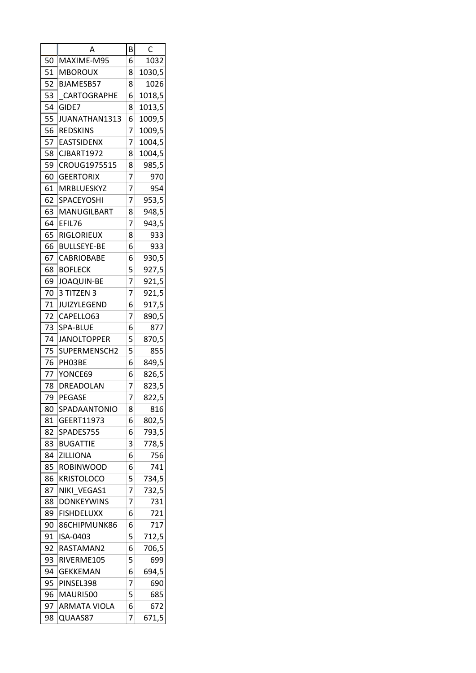|    | Α                  | B | C      |
|----|--------------------|---|--------|
| 50 | MAXIME-M95         | 6 | 1032   |
| 51 | <b>MBOROUX</b>     | 8 | 1030,5 |
| 52 | <b>BJAMESB57</b>   | 8 | 1026   |
| 53 | CARTOGRAPHE        | 6 | 1018,5 |
| 54 | GIDE7              | 8 | 1013,5 |
| 55 | JUANATHAN1313      | 6 | 1009,5 |
| 56 | <b>REDSKINS</b>    | 7 | 1009,5 |
| 57 | <b>EASTSIDENX</b>  | 7 | 1004,5 |
| 58 | <b>CJBART1972</b>  | 8 | 1004,5 |
| 59 | CROUG1975515       | 8 | 985,5  |
| 60 | <b>GEERTORIX</b>   | 7 | 970    |
| 61 | <b>MRBLUESKYZ</b>  | 7 | 954    |
| 62 | SPACEYOSHI         | 7 | 953,5  |
| 63 | MANUGILBART        | 8 | 948,5  |
| 64 | EFIL76             | 7 | 943,5  |
| 65 | <b>RIGLORIEUX</b>  | 8 | 933    |
| 66 | <b>BULLSEYE-BE</b> | 6 | 933    |
| 67 | <b>CABRIOBABE</b>  | 6 | 930,5  |
| 68 | <b>BOFLECK</b>     | 5 | 927,5  |
| 69 | <b>JOAQUIN-BE</b>  | 7 |        |
| 70 | 3 TITZEN 3         | 7 | 921,5  |
| 71 |                    |   | 921,5  |
|    | JUIZYLEGEND        | 6 | 917,5  |
| 72 | CAPELLO63          | 7 | 890,5  |
| 73 | SPA-BLUE           | 6 | 877    |
| 74 | <b>JANOLTOPPER</b> | 5 | 870,5  |
| 75 | SUPERMENSCH2       | 5 | 855    |
| 76 | IPH03BE            | 6 | 849,5  |
| 77 | YONCE69            | 6 | 826,5  |
| 78 | DREADOLAN          | 7 | 823,5  |
| 79 | PEGASE             | 7 | 822,5  |
| 80 | SPADAANTONIO       | 8 | 816    |
| 81 | GEERT11973         | 6 | 802,5  |
| 82 | SPADES755          | 6 | 793,5  |
| 83 | <b>BUGATTIE</b>    | 3 | 778,5  |
| 84 | ZILLIONA           | 6 | 756    |
| 85 | <b>ROBINWOOD</b>   | 6 | 741    |
| 86 | <b>KRISTOLOCO</b>  | 5 | 734,5  |
| 87 | NIKI VEGAS1        | 7 | 732,5  |
| 88 | <b>DONKEYWINS</b>  | 7 | 731    |
| 89 | <b>FISHDELUXX</b>  | 6 | 721    |
| 90 | 86CHIPMUNK86       | 6 | 717    |
| 91 | ISA-0403           | 5 | 712,5  |
| 92 | RASTAMAN2          | 6 | 706,5  |
| 93 | RIVERME105         | 5 | 699    |
| 94 | GEKKEMAN           | 6 | 694,5  |
| 95 | PINSEL398          | 7 | 690    |
| 96 | MAURI500           | 5 | 685    |
| 97 | ARMATA VIOLA       | 6 | 672    |
| 98 | QUAAS87            | 7 | 671,5  |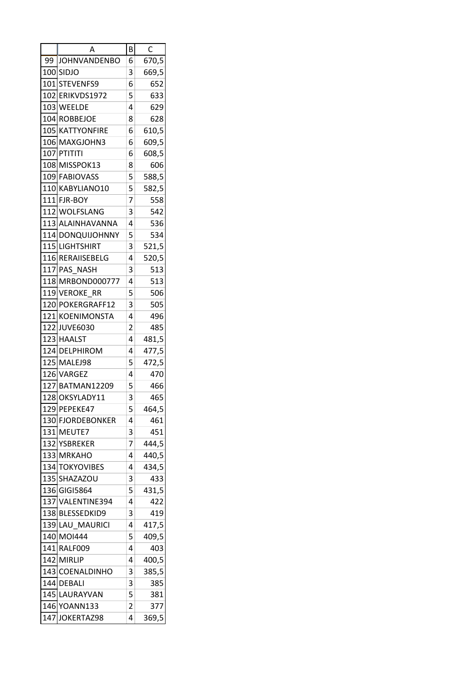| Α                | $\mathsf{B}$   | C     |
|------------------|----------------|-------|
| 99 JOHNVANDENBO  | 6              | 670,5 |
| 100 SIDJO        | 3              | 669,5 |
| 101 STEVENFS9    | 6              | 652   |
| 102 ERIKVDS1972  | 5              | 633   |
| 103 WEELDE       | 4              | 629   |
| 104 ROBBEJOE     | 8              | 628   |
| 105 KATTYONFIRE  | 6              | 610,5 |
| 106 MAXGJOHN3    | 6              | 609,5 |
| 107 PTITITI      | 6              | 608,5 |
| 108 MISSPOK13    | 8              | 606   |
| 109 FABIOVASS    | 5              | 588,5 |
| 110 KABYLIANO10  | $\overline{5}$ | 582,5 |
| 111 FJR-BOY      | 7              | 558   |
| 112 WOLFSLANG    | 3              | 542   |
| 113 ALAINHAVANNA | 4              | 536   |
| 114 DONQUIJOHNNY | 5              | 534   |
| 115 LIGHTSHIRT   | 3              | 521,5 |
| 116 RERAIISEBELG | 4              | 520,5 |
| 117 PAS NASH     | 3              | 513   |
| 118 MRBOND000777 | 4              | 513   |
| 119 VEROKE RR    | 5              | 506   |
| 120 POKERGRAFF12 | 3              | 505   |
|                  |                |       |
| 121 KOENIMONSTA  | 4              | 496   |
| 122JUVE6030      | 2              | 485   |
| 123 HAALST       | 4              | 481,5 |
| 124 DELPHIROM    | 4              | 477,5 |
| 125 MALEJ98      | 5              | 472,5 |
| 126 VARGEZ       | 4              | 470   |
| 127 BATMAN12209  | 5              | 466   |
| 128 OKSYLADY11   | 3              | 465   |
| 129 PEPEKE47     | 5              | 464,5 |
| 130 FJORDEBONKER | 4              | 461   |
| 131 MEUTE7       | 3              | 451   |
| 132 YSBREKER     | 7              | 444,5 |
| 133 MRKAHO       | 4              | 440,5 |
| 134 TOKYOVIBES   | 4              | 434,5 |
| 135 SHAZAZOU     | 3              | 433   |
| 136 GIGI5864     | 5              | 431,5 |
| 137 VALENTINE394 | 4              | 422   |
| 138 BLESSEDKID9  | 3              | 419   |
| 139 LAU MAURICI  | 4              | 417,5 |
| 140 MOI444       | 5              | 409,5 |
| 141 RALF009      | 4              | 403   |
| 142 MIRLIP       | 4              | 400,5 |
| 143 COENALDINHO  | 3              | 385,5 |
| 144 DEBALI       | 3              | 385   |
| 145 LAURAYVAN    | 5              | 381   |
| 146 YOANN133     | 2              | 377   |
| 147 JOKERTAZ98   | 4              | 369,5 |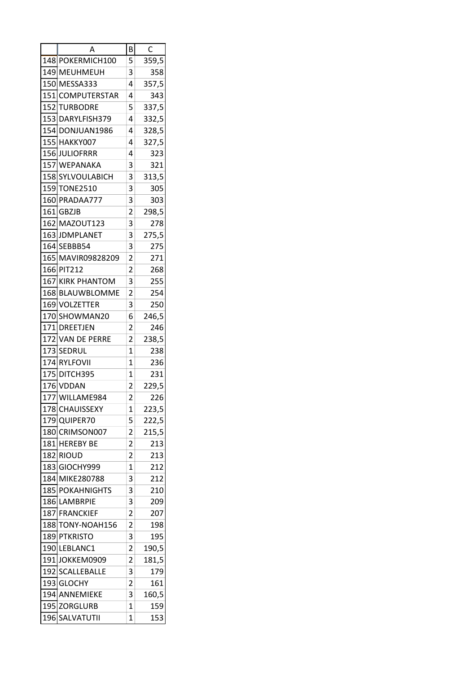|     | Α                 | B           | C     |
|-----|-------------------|-------------|-------|
|     | 148 POKERMICH100  | 5           | 359,5 |
|     | 149 MEUHMEUH      | 3           | 358   |
|     | 150 MESSA333      | 4           | 357,5 |
|     | 151 COMPUTERSTAR  | 4           | 343   |
|     | 152 TURBODRE      | 5           | 337,5 |
|     | 153 DARYLFISH379  | 4           | 332,5 |
|     | 154 DONJUAN1986   | 4           | 328,5 |
|     | 155 HAKKY007      | 4           | 327,5 |
|     | 156 JULIOFRRR     | 4           | 323   |
|     | 157 WEPANAKA      | 3           | 321   |
|     | 158 SYLVOULABICH  | 3           | 313,5 |
|     | 159 TONE2510      | 3           | 305   |
|     | 160 PRADAA777     | 3           | 303   |
|     | 161 GBZJB         | 2           | 298,5 |
|     | 162 MAZOUT123     | 3           | 278   |
|     | 163 JDMPLANET     | 3           | 275,5 |
|     | 164 SEBBB54       | 3           | 275   |
|     | 165 MAVIR09828209 | 2           | 271   |
|     | 166 PIT212        | 2           | 268   |
|     | 167 KIRK PHANTOM  | 3           | 255   |
|     | 168 BLAUWBLOMME   | 2           | 254   |
|     | 169 VOLZETTER     | 3           | 250   |
|     | 170SHOWMAN20      | 6           | 246,5 |
|     | 171 DREETJEN      | 2           | 246   |
|     | 172 VAN DE PERRE  | 2           | 238,5 |
|     | 173 SEDRUL        | 1           | 238   |
|     | 174 RYLFOVII      | $\mathbf 1$ | 236   |
|     | 175 DITCH395      | 1           | 231   |
|     | 176 VDDAN         | 2           | 229,5 |
|     | 177 WILLAME984    | 2           | 226   |
|     | 178 CHAUISSEXY    | 1           | 223,5 |
|     | 179 QUIPER70      | 5           | 222,5 |
|     | 180 CRIMSON007    | 2           | 215,5 |
|     | 181 HEREBY BE     | 2           | 213   |
|     | 182 RIOUD         | 2           | 213   |
|     | 183 GIOCHY999     | 1           | 212   |
|     | 184 MIKE280788    |             |       |
|     |                   | 3           | 212   |
|     | 185 POKAHNIGHTS   | 3           | 210   |
|     | 186 LAMBRPIE      | 3           | 209   |
|     | 187 FRANCKIEF     | 2           | 207   |
|     | 188 TONY-NOAH156  | 2           | 198   |
|     | 189 PTKRISTO      | 3           | 195   |
|     | 190 LEBLANC1      | 2           | 190,5 |
|     | 191 JOKKEM0909    | 2           | 181,5 |
|     | 192 SCALLEBALLE   | 3           | 179   |
|     | 193 GLOCHY        | 2           | 161   |
|     | 194 ANNEMIEKE     | 3           | 160,5 |
|     | 195 ZORGLURB      | 1           | 159   |
| 196 | SALVATUTII        | $\mathbf 1$ | 153   |